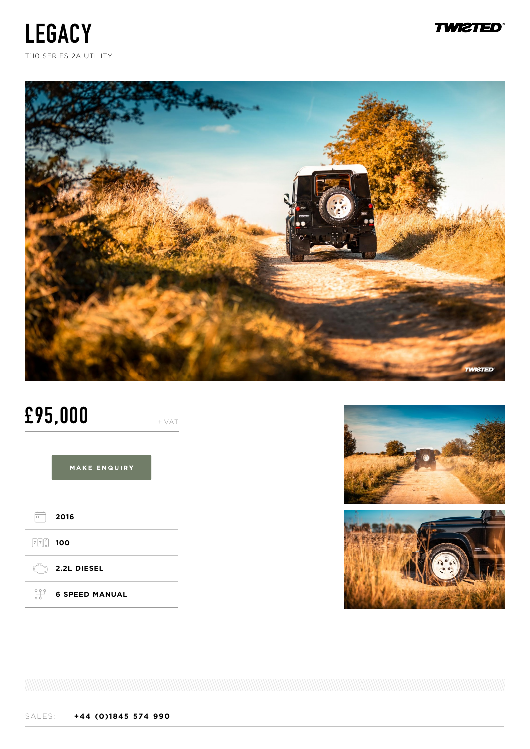





# **£95,000** + VAT

# MAKE ENQUIRY